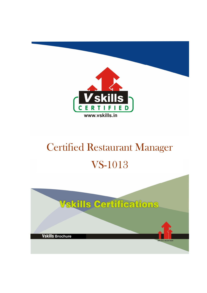

# Certified Restaurant Manager VS-1013

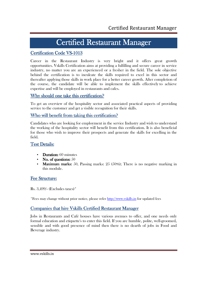# Certified Restaurant Manager

# Certification Code VS-1013

Career in the Restaurant Industry is very bright and it offers great growth opportunities. Vskills Certification aims at providing a fulfilling and secure career in service industry, no matter you are an experienced or a fresher in the field. The sole objective behind the certification is to inculcate the skills required to excel in this sector and thereafter applying those skills in work place for a better career growth. After completion of the course, the candidate will be able to implement the skills effectively to achieve expertise and will be employed in restaurants and cafes.

# Why should one take this certification?

To get an overview of the hospitality sector and associated practical aspects of providing service to the customer and get a visible recognition for their skills.

## Who will benefit from taking this certification?

Candidates who are looking for employment in the service Industry and wish to understand the working of the hospitality sector will benefit from this certification. It is also beneficial for those who wish to improve their prospects and generate the skills for excelling in the field.

## **Test Details:**

- Duration:  $60$  minutes
- No. of questions:  $50$
- Maximum marks: 50, Passing marks:  $25$  (50%); There is no negative marking in this module.

## Fee Structure:

Rs. 3,499/- (Excludes taxes)\*

\*Fees may change without prior notice, please refer http://www.vskills.in for updated fees

# Companies that hire Vskills Certified Restaurant Manager

Jobs in Restaurants and Café houses have various avenues to offer, and one needs only formal education and etiquette's to enter this field. If you are humble, polite, well-groomed, sensible and with good presence of mind then there is no dearth of jobs in Food and Beverage industry.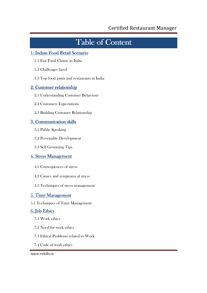# Table of Content

# 1. Indian Food Retail Scenario

- 1.1 Fast Food Chains in India
- 1.2 Challenges faced
- 1.3 Top food joints and restaurants in India

# 2. Customer relationship

- 2.1 Understanding Customer Behaviour
- 2.2 Customers Expectations
- 2.3 Building Customer Relationship

# 3. Communication skills

- 3.1 Public Speaking
- 3.2 Personality Development
- 3.3 Self Grooming Tips

## 4. Stress Management

- 4.1 Consequences of stress
- 4.2 Causes and symptoms of stress
- 4.3 Techniques of stress management

# 5. Time Management

5.1 Techniques of Time Management

# 6. Job Ethics

- 7.1 Work ethics
- 7.2 Need for work ethics
- 7.3 Ethical Problems related to Work
- 7.4 Code of work ethics

### www.vskills.in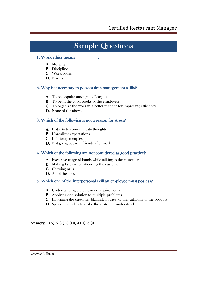# **Sample Questions**

### 1. Work ethics means

- A. Morality
- B. Discipline
- C. Work codes
- D. Norms

### 2. Why is it necessary to possess time management skills?

- A. To be popular amongst colleagues
- B. To be in the good books of the employers
- C. To organize the work in a better manner for improving efficiency
- D. None of the above

### 3. Which of the following is not a reason for stress?

- A. Inability to communicate thoughts
- B. Unrealistic expectations
- C. Inferiority complex
- D. Not going out with friends after work

### 4. Which of the following are not considered as good practice?

- A. Excessive usage of hands while talking to the customer
- B. Making faces when attending the customer
- C. Chewing nails
- D. All of the above

### 5. Which one of the interpersonal skill an employee must possess?

- A. Understanding the customer requirements
- B. Applying one solution to multiple problems
- C. Informing the customer blatantly in case of unavailability of the product
- D. Speaking quickly to make the customer understand

Answers: 1 (A), 2 (C), 3 (D), 4 (D), 5 (A)